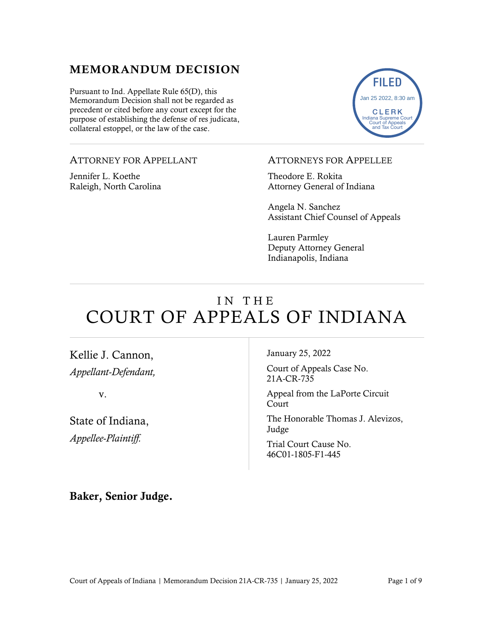#### MEMORANDUM DECISION

Pursuant to Ind. Appellate Rule 65(D), this Memorandum Decision shall not be regarded as precedent or cited before any court except for the purpose of establishing the defense of res judicata, collateral estoppel, or the law of the case.

#### ATTORNEY FOR APPELLANT

Jennifer L. Koethe Raleigh, North Carolina



#### ATTORNEYS FOR APPELLEE

Theodore E. Rokita Attorney General of Indiana

Angela N. Sanchez Assistant Chief Counsel of Appeals

Lauren Parmley Deputy Attorney General Indianapolis, Indiana

# IN THE COURT OF APPEALS OF INDIANA

Kellie J. Cannon, *Appellant-Defendant,*

v.

State of Indiana, *Appellee-Plaintiff.*

January 25, 2022

Court of Appeals Case No. 21A-CR-735

Appeal from the LaPorte Circuit Court

The Honorable Thomas J. Alevizos, Judge

Trial Court Cause No. 46C01-1805-F1-445

#### Baker, Senior Judge.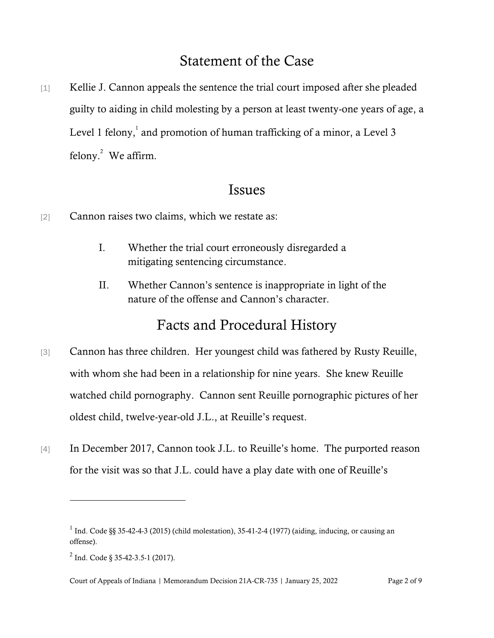# Statement of the Case

[1] Kellie J. Cannon appeals the sentence the trial court imposed after she pleaded guilty to aiding in child molesting by a person at least twenty-one years of age, a Level 1 felony,  $^1$  and promotion of human trafficking of a minor, a Level 3 felony. $^{2}$  We affirm.

### Issues

- [2] Cannon raises two claims, which we restate as:
	- I. Whether the trial court erroneously disregarded a mitigating sentencing circumstance.
	- II. Whether Cannon's sentence is inappropriate in light of the nature of the offense and Cannon's character.

# Facts and Procedural History

- [3] Cannon has three children. Her youngest child was fathered by Rusty Reuille, with whom she had been in a relationship for nine years. She knew Reuille watched child pornography. Cannon sent Reuille pornographic pictures of her oldest child, twelve-year-old J.L., at Reuille's request.
- [4] In December 2017, Cannon took J.L. to Reuille's home. The purported reason for the visit was so that J.L. could have a play date with one of Reuille's

<sup>&</sup>lt;sup>1</sup> Ind. Code §§ 35-42-4-3 (2015) (child molestation), 35-41-2-4 (1977) (aiding, inducing, or causing an offense).

 $^{2}$  Ind. Code § 35-42-3.5-1 (2017).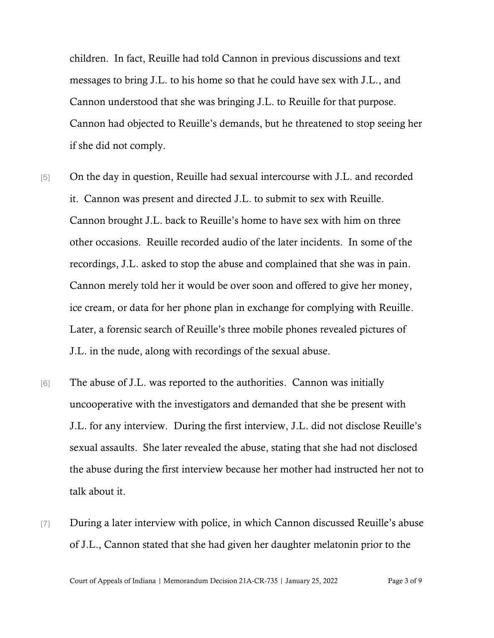children. In fact, Reuille had told Cannon in previous discussions and text messages to bring J.L. to his home so that he could have sex with J.L., and Cannon understood that she was bringing J.L. to Reuille for that purpose. Cannon had objected to Reuille's demands, but he threatened to stop seeing her if she did not comply.

- [5] On the day in question, Reuille had sexual intercourse with J.L. and recorded it. Cannon was present and directed J.L. to submit to sex with Reuille. Cannon brought J.L. back to Reuille's home to have sex with him on three other occasions. Reuille recorded audio of the later incidents. In some of the recordings, J.L. asked to stop the abuse and complained that she was in pain. Cannon merely told her it would be over soon and offered to give her money, ice cream, or data for her phone plan in exchange for complying with Reuille. Later, a forensic search of Reuille's three mobile phones revealed pictures of J.L. in the nude, along with recordings of the sexual abuse.
- [6] The abuse of J.L. was reported to the authorities. Cannon was initially uncooperative with the investigators and demanded that she be present with J.L. for any interview. During the first interview, J.L. did not disclose Reuille's sexual assaults. She later revealed the abuse, stating that she had not disclosed the abuse during the first interview because her mother had instructed her not to talk about it.
- [7] During a later interview with police, in which Cannon discussed Reuille's abuse of J.L., Cannon stated that she had given her daughter melatonin prior to the

Court of Appeals of Indiana | Memorandum Decision 21A-CR-735 | January 25, 2022 Page 3 of 9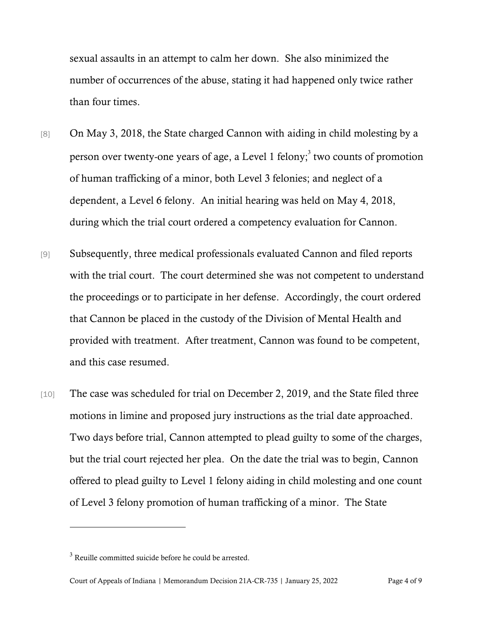sexual assaults in an attempt to calm her down. She also minimized the number of occurrences of the abuse, stating it had happened only twice rather than four times.

- [8] On May 3, 2018, the State charged Cannon with aiding in child molesting by a person over twenty-one years of age, a Level 1 felony;<sup>3</sup> two counts of promotion of human trafficking of a minor, both Level 3 felonies; and neglect of a dependent, a Level 6 felony. An initial hearing was held on May 4, 2018, during which the trial court ordered a competency evaluation for Cannon.
- [9] Subsequently, three medical professionals evaluated Cannon and filed reports with the trial court. The court determined she was not competent to understand the proceedings or to participate in her defense. Accordingly, the court ordered that Cannon be placed in the custody of the Division of Mental Health and provided with treatment. After treatment, Cannon was found to be competent, and this case resumed.
- [10] The case was scheduled for trial on December 2, 2019, and the State filed three motions in limine and proposed jury instructions as the trial date approached. Two days before trial, Cannon attempted to plead guilty to some of the charges, but the trial court rejected her plea. On the date the trial was to begin, Cannon offered to plead guilty to Level 1 felony aiding in child molesting and one count of Level 3 felony promotion of human trafficking of a minor. The State

 $3$  Reuille committed suicide before he could be arrested.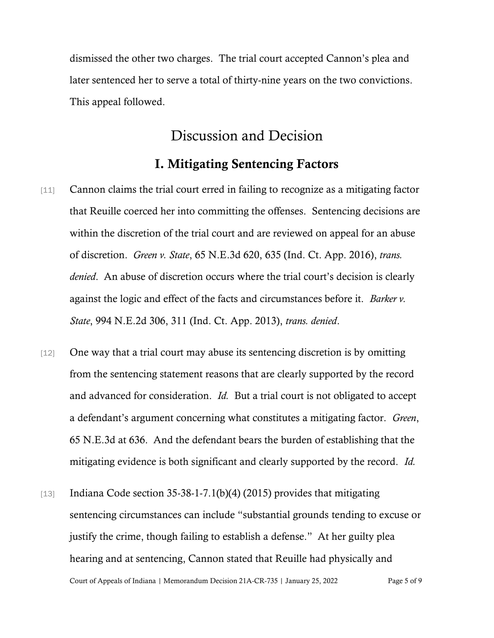dismissed the other two charges. The trial court accepted Cannon's plea and later sentenced her to serve a total of thirty-nine years on the two convictions. This appeal followed.

## Discussion and Decision

#### I. Mitigating Sentencing Factors

- [11] Cannon claims the trial court erred in failing to recognize as a mitigating factor that Reuille coerced her into committing the offenses. Sentencing decisions are within the discretion of the trial court and are reviewed on appeal for an abuse of discretion. *Green v. State*, 65 N.E.3d 620, 635 (Ind. Ct. App. 2016), *trans. denied*. An abuse of discretion occurs where the trial court's decision is clearly against the logic and effect of the facts and circumstances before it. *Barker v. State*, 994 N.E.2d 306, 311 (Ind. Ct. App. 2013), *trans. denied*.
- [12] One way that a trial court may abuse its sentencing discretion is by omitting from the sentencing statement reasons that are clearly supported by the record and advanced for consideration. *Id.* But a trial court is not obligated to accept a defendant's argument concerning what constitutes a mitigating factor. *Green*, 65 N.E.3d at 636. And the defendant bears the burden of establishing that the mitigating evidence is both significant and clearly supported by the record. *Id.*
- Court of Appeals of Indiana | Memorandum Decision 21A-CR-735 | January 25, 2022 Page 5 of 9 [13] Indiana Code section  $35-38-1-7.1(b)(4)$  (2015) provides that mitigating sentencing circumstances can include "substantial grounds tending to excuse or justify the crime, though failing to establish a defense." At her guilty plea hearing and at sentencing, Cannon stated that Reuille had physically and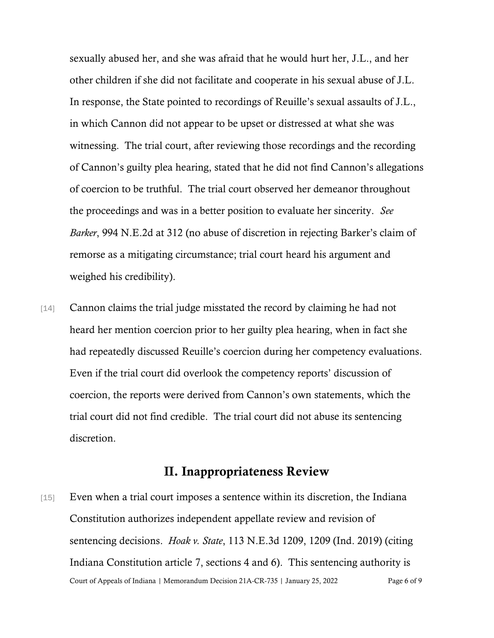sexually abused her, and she was afraid that he would hurt her, J.L., and her other children if she did not facilitate and cooperate in his sexual abuse of J.L. In response, the State pointed to recordings of Reuille's sexual assaults of J.L., in which Cannon did not appear to be upset or distressed at what she was witnessing. The trial court, after reviewing those recordings and the recording of Cannon's guilty plea hearing, stated that he did not find Cannon's allegations of coercion to be truthful. The trial court observed her demeanor throughout the proceedings and was in a better position to evaluate her sincerity. *See Barker*, 994 N.E.2d at 312 (no abuse of discretion in rejecting Barker's claim of remorse as a mitigating circumstance; trial court heard his argument and weighed his credibility).

[14] Cannon claims the trial judge misstated the record by claiming he had not heard her mention coercion prior to her guilty plea hearing, when in fact she had repeatedly discussed Reuille's coercion during her competency evaluations. Even if the trial court did overlook the competency reports' discussion of coercion, the reports were derived from Cannon's own statements, which the trial court did not find credible. The trial court did not abuse its sentencing discretion.

#### II. Inappropriateness Review

Court of Appeals of Indiana | Memorandum Decision 21A-CR-735 | January 25, 2022 Page 6 of 9 [15] Even when a trial court imposes a sentence within its discretion, the Indiana Constitution authorizes independent appellate review and revision of sentencing decisions. *Hoak v. State*, 113 N.E.3d 1209, 1209 (Ind. 2019) (citing Indiana Constitution article 7, sections 4 and 6). This sentencing authority is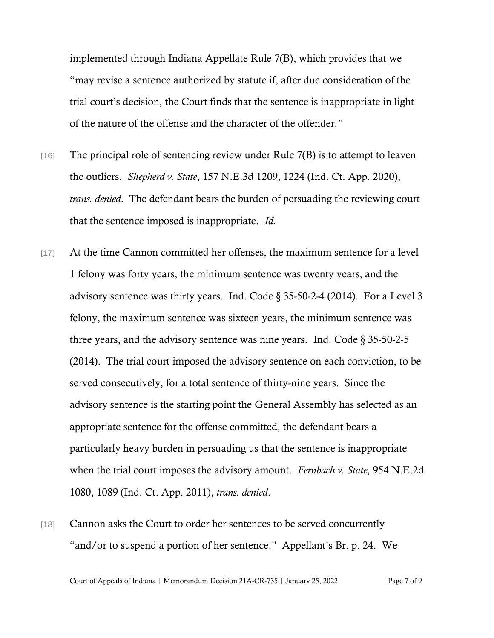implemented through Indiana Appellate Rule 7(B), which provides that we "may revise a sentence authorized by statute if, after due consideration of the trial court's decision, the Court finds that the sentence is inappropriate in light of the nature of the offense and the character of the offender."

- $[16]$  The principal role of sentencing review under Rule 7(B) is to attempt to leaven the outliers. *Shepherd v. State*, 157 N.E.3d 1209, 1224 (Ind. Ct. App. 2020), *trans. denied*. The defendant bears the burden of persuading the reviewing court that the sentence imposed is inappropriate. *Id.*
- [17] At the time Cannon committed her offenses, the maximum sentence for a level 1 felony was forty years, the minimum sentence was twenty years, and the advisory sentence was thirty years. Ind. Code § 35-50-2-4 (2014). For a Level 3 felony, the maximum sentence was sixteen years, the minimum sentence was three years, and the advisory sentence was nine years. Ind. Code § 35-50-2-5 (2014). The trial court imposed the advisory sentence on each conviction, to be served consecutively, for a total sentence of thirty-nine years. Since the advisory sentence is the starting point the General Assembly has selected as an appropriate sentence for the offense committed, the defendant bears a particularly heavy burden in persuading us that the sentence is inappropriate when the trial court imposes the advisory amount. *Fernbach v. State*, 954 N.E.2d 1080, 1089 (Ind. Ct. App. 2011), *trans. denied*.
- [18] Cannon asks the Court to order her sentences to be served concurrently "and/or to suspend a portion of her sentence." Appellant's Br. p. 24. We

Court of Appeals of Indiana | Memorandum Decision 21A-CR-735 | January 25, 2022 Page 7 of 9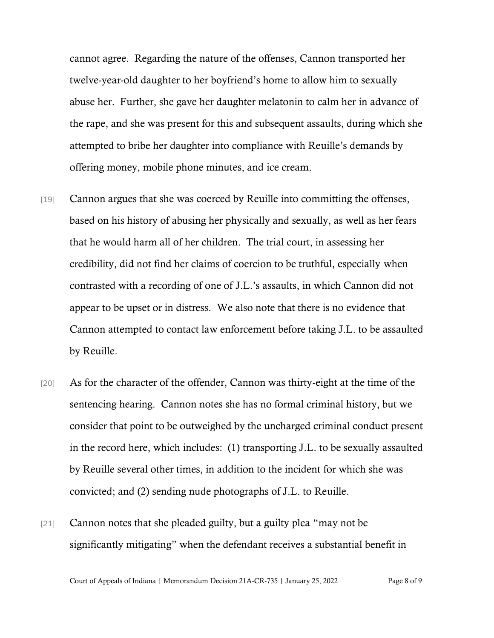cannot agree. Regarding the nature of the offenses, Cannon transported her twelve-year-old daughter to her boyfriend's home to allow him to sexually abuse her. Further, she gave her daughter melatonin to calm her in advance of the rape, and she was present for this and subsequent assaults, during which she attempted to bribe her daughter into compliance with Reuille's demands by offering money, mobile phone minutes, and ice cream.

- [19] Cannon argues that she was coerced by Reuille into committing the offenses, based on his history of abusing her physically and sexually, as well as her fears that he would harm all of her children. The trial court, in assessing her credibility, did not find her claims of coercion to be truthful, especially when contrasted with a recording of one of J.L.'s assaults, in which Cannon did not appear to be upset or in distress. We also note that there is no evidence that Cannon attempted to contact law enforcement before taking J.L. to be assaulted by Reuille.
- [20] As for the character of the offender, Cannon was thirty-eight at the time of the sentencing hearing. Cannon notes she has no formal criminal history, but we consider that point to be outweighed by the uncharged criminal conduct present in the record here, which includes: (1) transporting J.L. to be sexually assaulted by Reuille several other times, in addition to the incident for which she was convicted; and (2) sending nude photographs of J.L. to Reuille.
- [21] Cannon notes that she pleaded guilty, but a guilty plea "may not be significantly mitigating" when the defendant receives a substantial benefit in

Court of Appeals of Indiana | Memorandum Decision 21A-CR-735 | January 25, 2022 Page 8 of 9